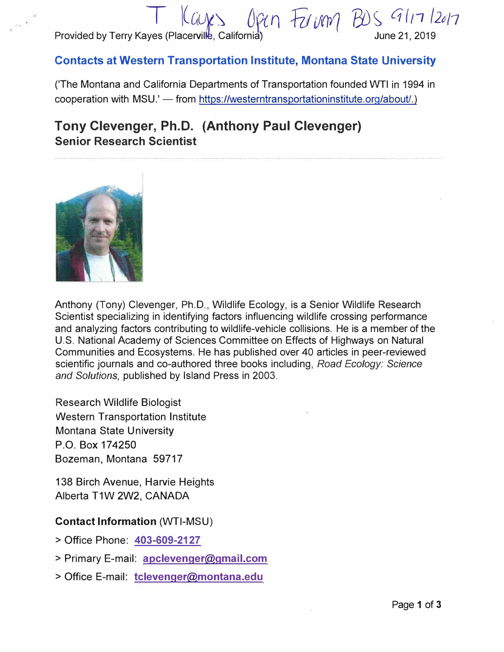T l(a\_J\li *Of(n &ulo// E{)S, q/n /2u11* Provided by Terry Kayes (Placerville, California)

# **Contacts at Western Transportation Institute, Montana State University**

('The Montana and California Departments of Transportation founded WTI in 1994 in cooperation with MSU.' - from https://westerntransportationinstitute.org/about/.)

# **Tony Clevenger, Ph.D. (Anthony Paul Clevenger) Senior Research Scientist**



Anthony (Tony) Clevenger, Ph.D., Wildlife Ecology, is a Senior Wildlife Research Scientist specializing in identifying factors influencing wildlife crossing performance and analyzing factors contributing to wildlife-vehicle collisions. He is a member of the U.S. National Academy of Sciences Committee on Effects of Highways on Natural Communities and Ecosystems. He has published over 40 articles in peer-reviewed scientific journals and co-authored three books including, *Road Ecology: Science and Solutions,* published by Island Press in 2003.

Research Wildlife Biologist Western Transportation Institute Montana State University P.O. Box 174250 Bozeman, Montana 59717

138 Birch Avenue, Harvie Heights Alberta T1W 2W2, CANADA

### **Contact Information** (WTI-MSU)

- > Office Phone: **403-609-2127**
- > Primary E-mail: **apclevenger@gmail.com**
- > Office E-mail: **tclevenger@montana.edu**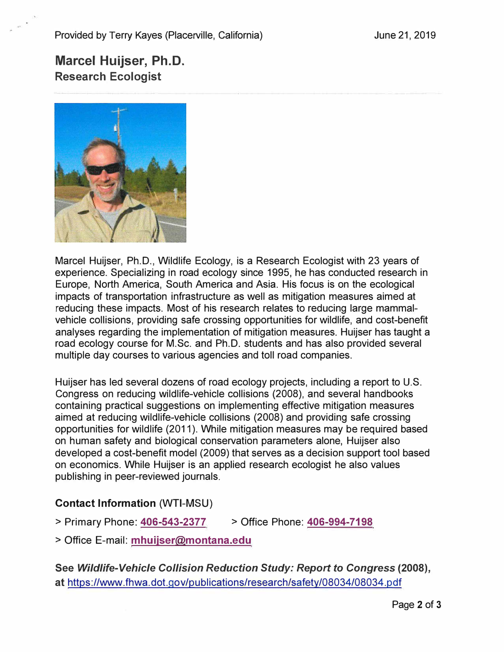# **Marcel Huijser, Ph.D. Research Ecologist**



Marcel Huijser, Ph.D., Wildlife Ecology, is a Research Ecologist with 23 years of experience. Specializing in road ecology since 1995, he has conducted research in Europe, North America, South America and Asia. His focus is on the ecological impacts of transportation infrastructure as well as mitigation measures aimed at reducing these impacts. Most of his research relates to reducing large mammalvehicle collisions, providing safe crossing opportunities for wildlife, and cost-benefit analyses regarding the implementation of mitigation measures. Huijser has taught a road ecology course for M.Sc. and Ph.D. students and has also provided several multiple day courses to various agencies and toll road companies.

Huijser has led several dozens of road ecology projects, including a report to U.S. Congress on reducing wildlife-vehicle collisions (2008), and several handbooks containing practical suggestions on implementing effective mitigation measures aimed at reducing wildlife-vehicle collisions (2008) and providing safe crossing opportunities for wildlife (2011 ). While mitigation measures may be required based on human safety and biological conservation parameters alone, Huijser also developed a cost-benefit model (2009) that serves as a decision support tool based on economics. While Huijser is an applied research ecologist he also values publishing in peer-reviewed journals.

## **Contact Information** (WTI-MSU)

- > Primary Phone: **406-543-2377** > Office Phone: **406-994-7198**
- > Office E-mail: **mhuijser@montana.edu**

**See** *Wildlife-Vehicle Collision Reduction Study: Report to Congress* **(2008), at** https://www.fhwa.dot.gov/publications/research/safety/08034/08034.pdf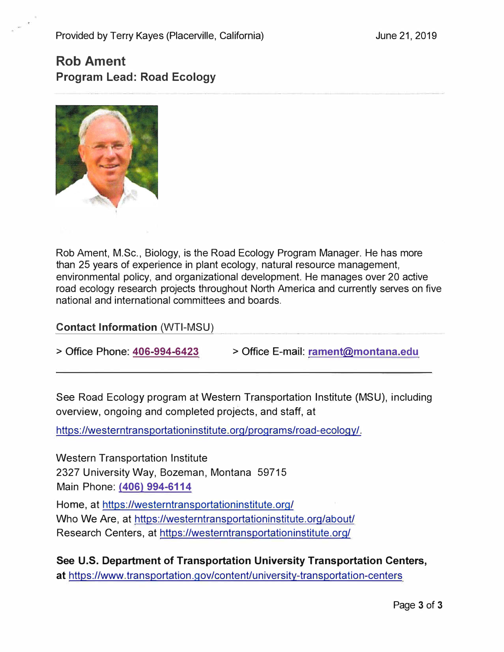# **Rob Ament Program Lead: Road Ecology**



Rob Ament, M.Sc., Biology, is the Road Ecology Program Manager. He has more than 25 years of experience in plant ecology, natural resource management, environmental policy, and organizational development. He manages over 20 active road ecology research projects throughout North America and currently serves on five national and international committees and boards.

**\_Contact lnformation\_(WTI-MSU)** 

**> Office Phone: 406-994-6423 > Office E-mail: rament@montana.edu**

See Road Ecology program at Western Transportation Institute (MSU), including overview, ongoing and completed projects, and staff, at

https://westerntransportationinstitute.org/programs/road-ecology/.

Western Transportation Institute 2327 University Way, Bozeman, Montana 59715 Main Phone: **(406) 994-6114**  Home, at https://westerntransportationinstitute.org/ Who We Are, at https://westerntransportationinstitute.org/about/ Research Centers, at https://westerntransportationinstitute.org/

**See U.S. Department of Transportation University Transportation Centers,**  at https://www.transportation.gov/content/university-transportation-centers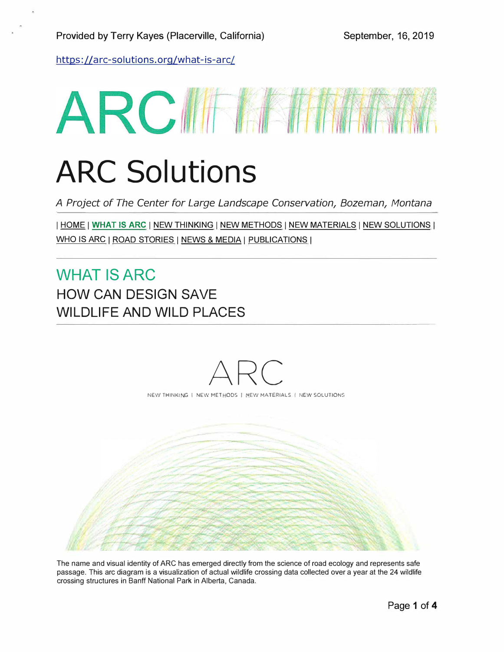https://arc-solutions.org/what-is-arc/

# ARCIFIANTI

# ARC Solutions

*A Project of The Center for Large Landscape Conservation, Bozeman, Montana* 

I HOME J **WHAT IS ARC** I NEW THINKING I NEW METHODS J NEW MATERIALS I NEW SOLUTIONS <sup>J</sup> WHO IS ARC | ROAD STORIES | NEWS & MEDIA | PUBLICATIONS |

WHAT IS ARC HOW CAN DESIGN SAVE WILDLIFE AND WILD PLACES



The name and visual identity of ARC has emerged directly from the science of road ecology and represents safe passage. This arc diagram is a visualization of actual wildlife crossing data collected over a year at the 24 wildlife crossing structures in Banff National Park in Alberta, Canada.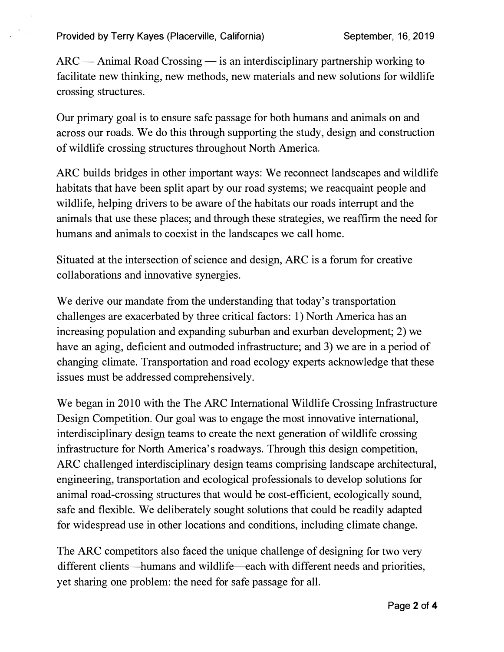$ARC - Animal Road Crossing - is an interdisciplinary partnership working to$ facilitate new thinking, new methods, new materials and new solutions for wildlife crossing structures.

Our primary goal is to ensure safe passage for both humans and animals on and across our roads. We do this through supporting the study, design and construction of wildlife crossing structures throughout North America.

ARC builds bridges in other important ways: We reconnect landscapes and wildlife habitats that have been split apart by our road systems; we reacquaint people and wildlife, helping drivers to be aware of the habitats our roads interrupt and the animals that use these places; and through these strategies, we reaffirm the need for humans and animals to coexist in the landscapes we call home.

Situated at the intersection of science and design, ARC is a forum for creative collaborations and innovative synergies.

We derive our mandate from the understanding that today's transportation challenges are exacerbated by three critical factors: 1) North America has an increasing population and expanding suburban and exurban development; 2) we have an aging, deficient and outmoded infrastructure; and 3) we are in a period of changing climate. Transportation and road ecology experts acknowledge that these issues must be addressed comprehensively.

We began in 2010 with the The ARC International Wildlife Crossing Infrastructure Design Competition. Our goal was to engage the most innovative international, interdisciplinary design teams to create the next generation of wildlife crossing infrastructure for North America's roadways. Through this design competition, ARC challenged interdisciplinary design teams comprising landscape architectural, engineering, transportation and ecological professionals to develop solutions for animal road-crossing structures that would be cost-efficient, ecologically sound, safe and flexible. We deliberately sought solutions that could be readily adapted for widespread use in other locations and conditions, including climate change.

The ARC competitors also faced the unique challenge of designing for two very different clients-humans and wildlife-each with different needs and priorities, yet sharing one problem: the need for safe passage for all.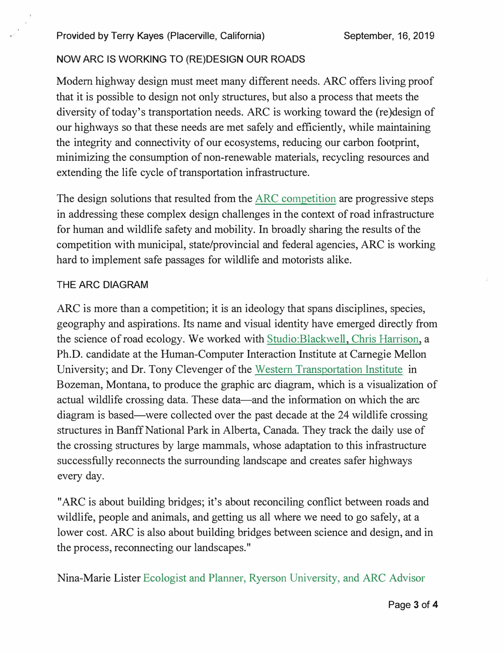## NOW ARC IS WORKING TO (RE)DESIGN OUR ROADS

Modem highway design must meet many different needs. ARC offers living proof that it is possible to design not only structures, but also a process that meets the diversity of today's transportation needs. ARC is working toward the (re)design of our highways so that these needs are met safely and efficiently, while maintaining the integrity and connectivity of our ecosystems, reducing our carbon footprint, minimizing the consumption of non-renewable materials, recycling resources and extending the life cycle of transportation infrastructure.

The design solutions that resulted from the ARC competition are progressive steps in addressing these complex design challenges in the context of road infrastructure for human and wildlife safety and mobility. In broadly sharing the results of the competition with municipal, state/provincial and federal agencies, ARC is working hard to implement safe passages for wildlife and motorists alike.

### THE ARC DIAGRAM

ARC is more than a competition; it is an ideology that spans disciplines, species, geography and aspirations. Its name and visual identity have emerged directly from the science of road ecology. We worked with Studio:Blackwell, Chris Harrison, a Ph.D. candidate at the Human-Computer Interaction Institute at Carnegie Mellon University; and Dr. Tony Clevenger of the Western Transportation Institute in Bozeman, Montana, to produce the graphic arc diagram, which is a visualization of actual wildlife crossing data. These data—and the information on which the arc diagram is based-were collected over the past decade at the 24 wildlife crossing structures in Banff National Park in Alberta, Canada. They track the daily use of the crossing structures by large mammals, whose adaptation to this infrastructure successfully reconnects the surrounding landscape and creates safer highways every day.

"ARC is about building bridges; it's about reconciling conflict between roads and wildlife, people and animals, and getting us all where we need to go safely, at a lower cost. ARC is also about building bridges between science and design, and in the process, reconnecting our landscapes."

Nina-Marie Lister Ecologist and Planner, Ryerson University, and ARC Advisor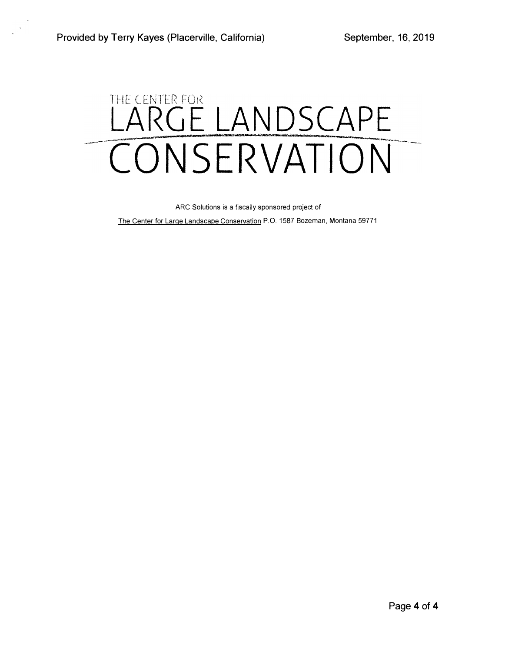# THE CENTER FOR LANDSCAPE CONSERVATION

ARC Solutions is a fiscally sponsored project of

The Center for Large Landscape Conservation P.O. 1587 Bozeman, Montana 59771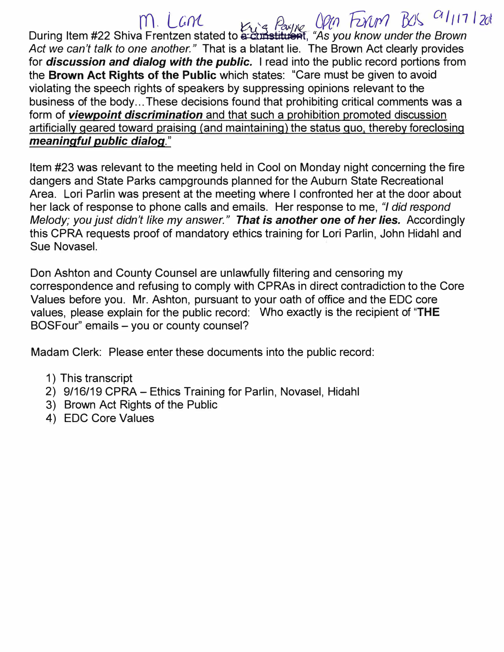$m$ . Lane  $m$   $m$   $g$   $Peyn$   $Qpn$  Funn  $BJS$   $G1_{11712d}$ During Item #22 Shiva Frentzen stated to **�irlstit1** �· "As *you know under the Brown Act we can't talk to one another."* That is a blatant lie. The Brown Act clearly provides for *discussion and dialog with the public.* I read into the public record portions from the **Brown Act Rights of the Public** which states: "Care must be given to avoid violating the speech rights of speakers by suppressing opinions relevant to the business of the body ... These decisions found that prohibiting critical comments was a form of *viewpoint discrimination* and that such a prohibition promoted discussion artificially geared toward praising (and maintaining) the status quo. thereby foreclosing *meaningful public dialog."* 

Item #23 was relevant to the meeting held in Cool on Monday night concerning the fire dangers and State Parks campgrounds planned for the Auburn State Recreational Area. Lori Parlin was present at the meeting where I confronted her at the door about her lack of response to phone calls and emails. Her response to me, *"I did respond Melody; you just didn't like my answer." That is another one of her lies.* Accordingly this CPRA requests proof of mandatory ethics training for Lori Parlin, John Hidahl and Sue Novasel.

Don Ashton and County Counsel are unlawfully filtering and censoring my correspondence and refusing to comply with CPRAs in direct contradiction to the Core Values before you. Mr. Ashton, pursuant to your oath of office and the EDC core values, please explain for the public record: Who exactly is the recipient of **"THE**  BOSFour" emails - you or county counsel?

Madam Clerk: Please enter these documents into the public record:

- 1) This transcript
- 2) 9/16/19 CPRA Ethics Training for Parlin, Novasel, Hidahl
- 3) Brown Act Rights of the Public
- 4) EDC Core Values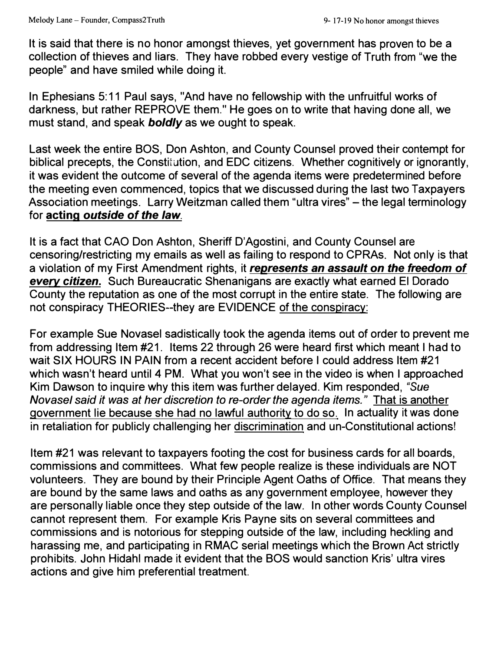It is said that there is no honor amongst thieves, yet government has proven to be a collection of thieves and liars. They have robbed every vestige of Truth from "we the people" and have smiled while doing it.

In Ephesians 5: 11 Paul says, "And have no fellowship with the unfruitful works of darkness, but rather REPROVE them." He goes on to write that having done all, we must stand, and speak *boldly* as we ought to speak.

Last week the entire BOS, Don Ashton, and County Counsel proved their contempt for biblical precepts, the Constitution, and EDC citizens. Whether cognitively or ignorantly, it was evident the outcome of several of the agenda items were predetermined before the meeting even commenced, topics that we discussed during the last two Taxpayers Association meetings. Larry Weitzman called them "ultra vires" – the legal terminology for **acting** *outside of the law.* 

It is a fact that CAO Don Ashton, Sheriff D'Agostini, and County Counsel are censoring/restricting my emails as well as failing to respond to CPRAs. Not only is that a violation of my First Amendment rights, it *represents an assault on the freedom of every citizen.* Such Bureaucratic Shenanigans are exactly what earned El Dorado County the reputation as one of the most corrupt in the entire state. The following are not conspiracy THEORIES--they are EVIDENCE of the conspiracy:

For example Sue Novasel sadistically took the agenda items out of order to prevent me from addressing Item #21. Items 22 through 26 were heard first which meant I had to wait SIX HOURS IN PAIN from a recent accident before I could address Item #21 which wasn't heard until 4 PM. What you won't see in the video is when I approached Kim Dawson to inquire why this item was further delayed. Kim responded, *"Sue Novasel said it* was *at her discretion to re-order the agenda items."* That is another government lie because she had no lawful authority to do so. In actuality it was done in retaliation for publicly challenging her discrimination and un-Constitutional actions!

Item #21 was relevant to taxpayers footing the cost for business cards for all boards, commissions and committees. What few people realize is these individuals are NOT volunteers. They are bound by their Principle Agent Oaths of Office. That means they are bound by the same laws and oaths as any government employee, however they are personally liable once they step outside of the law. In other words County Counsel cannot represent them. For example Kris Payne sits on several committees and commissions and is notorious for stepping outside of the law, including heckling and harassing me, and participating in RMAC serial meetings which the Brown Act strictly prohibits. John Hidahl made it evident that the BOS would sanction Kris' ultra vires actions and give him preferential treatment.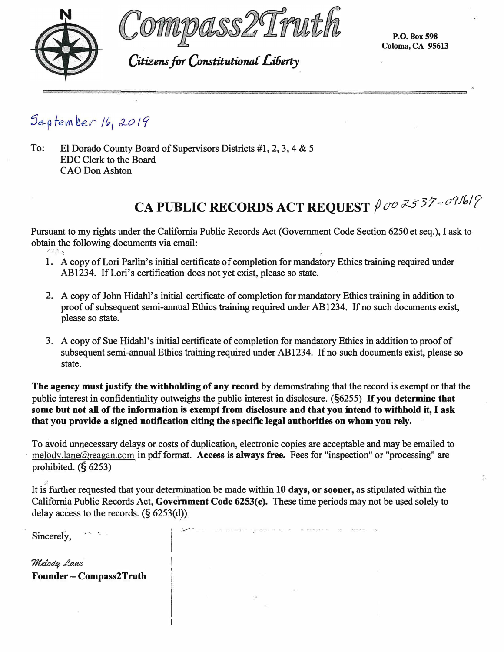



*Citizens for Constitutional Li6erty* 

**P.O.Box598 Coloma, CA 95613** 

September 16, 2019

To: El Dorado County Board of Supervisors Districts #1, 2, 3, 4 & 5 EDC Clerk to the Board CAO Don Ashton

# **CA PUBLIC RECORDS ACT REQUEST**  $\int$  ov  $\vec{\lambda}$  3737-c91bl?

Pursuant to my rights under the California Public Records Act (Government Code Section 6250 et seq.), I ask to obtain the following documents via email: /-,*-:*·· .. *-···t* 

- 1. A copy of Lori Parlin's initial certificate of completion for mandatory Ethics training required under AB1234. If Lori's certification does not yet exist, please so state.
- 2. A copy of John Hidahl's initial certificate of completion for mandatory Ethics training in addition to proof of subsequent semi-annual Ethics training required under AB1234. If no such documents exist, please so state.
- 3. A copy of Sue Hidahl' s initial certificate of completion for mandatory Ethics in addition to proof of subsequent semi-annual Ethics training required under AB1234. If no such documents exist, please so state.

**The agency must justify the withholding of any record** by demonstrating that the record is exempt or that the public interest in confidentiality outweighs the public interest in disclosure. (§6255) **H** you determine that **some but not all of the information** is **exempt from disclosure and that you intend to withhold it,** I ask **that you provide a signed notification citing the specific legal authorities on whom you rely.** 

To avoid unnecessary delays or costs of duplication, electronic copies are acceptable and may be emailed to melody.lane@reagan.com in pdf format. **Access is always free.** Fees for "inspection" or "processing" are prohibited. $(66253)$ 

It is further requested that your determination be made within **10 days, or sooner,** as stipulated within the California Public Records Act, **Government Code 6253(c).** These time periods may not be used solely to delay access to the records.  $(§ 6253(d))$ 

> $\mathbf{I}$ I

Sincerely,  $\overline{\phantom{a}}$   $\overline{\phantom{a}}$ 

Melod*y*, Lane **Founder - Compass2Truth**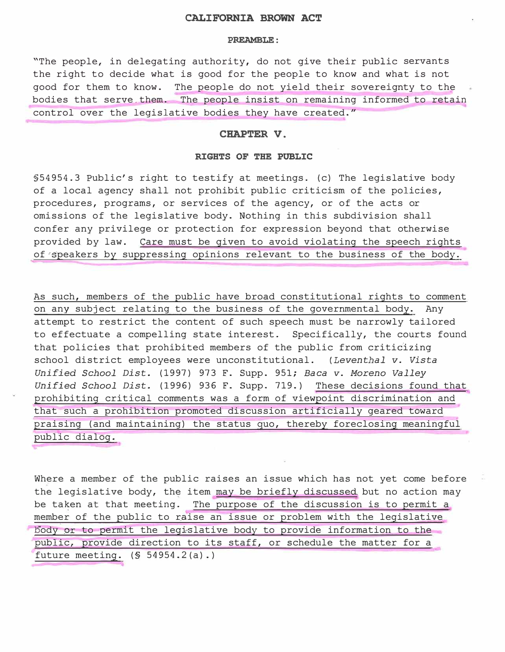### **CALIFORNIA BROWN ACT**

#### **PREAMBLE:**

"The people, in delegating authority, do not give their public servants the right to decide what is good for the people to know and what is not good for them to know. The people do not yield their sovereignty to the bodies that serve them. The people insist on remaining informed to retain control over the legislative bodies they have created."

#### **CHAPTER V.**

### **RIGHTS OF THE PUBLIC**

§54954.3 Public's right to testify at meetings. (c) The legislative body of a local agency shall not prohibit public criticism of the policies, procedures, programs, or services of the agency, or of the acts or omissions of the legislative body. Nothing in this subdivision shall confer any privilege or protection for expression beyond that otherwise provided by law. Care must be given to avoid violating the speech rights of'�peakers by suppressing opinions relevant to the business of the body.

As such, members of the public have broad constitutional rights to comment on any subject relating to the business of the governmental body. Any attempt to restrict the content of such speech must be narrowly tailored to effectuate a compelling state interest. Specifically, the courts found that policies that prohibited members of the public from criticizing school district employees were unconstitutional. *(Leventhal v. Vista Unified School Dist.* (1997) 973 F. Supp. 951; *Baca v. Moreno Valley Unified School Dist.* (1996) 936 F. Supp. 719.) These decisions found that prohibiting critical comments was a form of viewpoint discrimination and that such a prohibition promoted discussion artificially geared toward praising (and maintaining) the status quo, thereby foreclosing meaningful public dialog.

Where a member of the public raises an issue which has not yet come before the legislative body, the item may be briefly discussed but no action may be taken at that meeting. The purpose of the discussion is to permit a member of the public to raise an issue or problem with the legislative body or to permit the legislative body to provide information to the public, provide direction to its staff, or schedule the matter for a future meeting. (§ 54954.2(a) .)